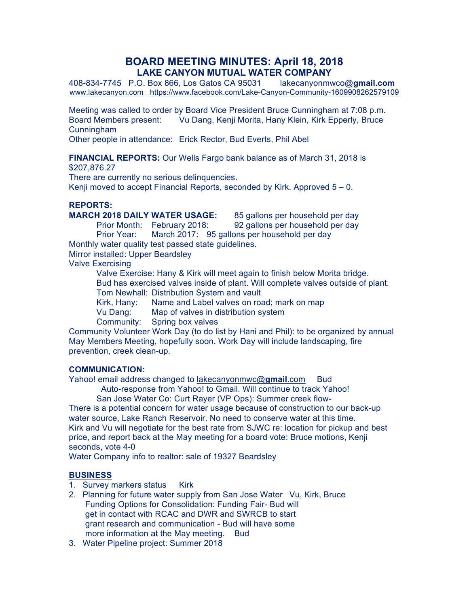# **BOARD MEETING MINUTES: April 18, 2018 LAKE CANYON MUTUAL WATER COMPANY**

408-834-7745 P.O. Box 866, Los Gatos CA 95031 lakecanyonmwco@**gmail.com** www.lakecanyon.com https://www.facebook.com/Lake-Canyon-Community-1609908262579109

Meeting was called to order by Board Vice President Bruce Cunningham at 7:08 p.m. Board Members present: Vu Dang, Kenji Morita, Hany Klein, Kirk Epperly, Bruce Cunningham

Other people in attendance: Erick Rector, Bud Everts, Phil Abel

**FINANCIAL REPORTS:** Our Wells Fargo bank balance as of March 31, 2018 is \$207,876.27

There are currently no serious delinquencies.

Kenji moved to accept Financial Reports, seconded by Kirk. Approved  $5 - 0$ .

#### **REPORTS:**

**MARCH 2018 DAILY WATER USAGE:** 85 gallons per household per day

Prior Month: February 2018: 92 gallons per household per day

Prior Year: March 2017: 95 gallons per household per day Monthly water quality test passed state guidelines.

Mirror installed: Upper Beardsley

Valve Exercising

Valve Exercise: Hany & Kirk will meet again to finish below Morita bridge. Bud has exercised valves inside of plant. Will complete valves outside of plant. Tom Newhall: Distribution System and vault

Kirk, Hany: Name and Label valves on road; mark on map

Vu Dang: Map of valves in distribution system

Community: Spring box valves

Community Volunteer Work Day (to do list by Hani and Phil): to be organized by annual May Members Meeting, hopefully soon. Work Day will include landscaping, fire prevention, creek clean-up.

## **COMMUNICATION:**

Yahoo! email address changed to lakecanyonmwc@gmail.com Bud

Auto-response from Yahoo! to Gmail. Will continue to track Yahoo!

San Jose Water Co: Curt Rayer (VP Ops): Summer creek flow-There is a potential concern for water usage because of construction to our back-up water source, Lake Ranch Reservoir. No need to conserve water at this time. Kirk and Vu will negotiate for the best rate from SJWC re: location for pickup and best price, and report back at the May meeting for a board vote: Bruce motions, Kenji seconds, vote 4-0

Water Company info to realtor: sale of 19327 Beardsley

## **BUSINESS**

- 1. Survey markers status Kirk
- 2. Planning for future water supply from San Jose Water Vu, Kirk, Bruce Funding Options for Consolidation: Funding Fair- Bud will get in contact with RCAC and DWR and SWRCB to start grant research and communication - Bud will have some more information at the May meeting. Bud
- 3. Water Pipeline project: Summer 2018